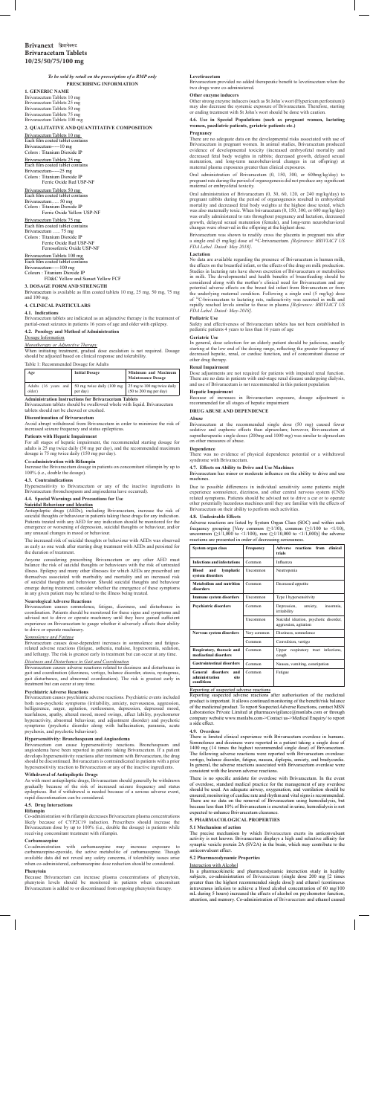### *To be sold by retail on the prescription of a RMP only* **PRESCRIBING INFORMATION**

**1. GENERIC NAME** Brivaracetam Tablets 10 mg Brivaracetam Tablets 25 mg Brivaracetam Tablets 50 mg Brivaracetam Tablets 75 mg Brivaracetam Tablets 100 mg

### **2. QUALITATIVE AND QUANTITATIVE COMPOSITION**

Brivaracetam Tablets 10 mg

Each film coated tablet contains Brivaracetam-----10 mg Colors : Titanium Dioxide IP Brivaracetam Tablets 25 mg Each film coated tablet contains Brivaracetam-----25 mg Colors : Titanium Dioxide IP Ferric Oxide Red USP-NF

Brivaracetam Tablets 50 mg Each film coated tablet contains Brivaracetam….. 50 mg Colors : Titanium Dioxide IP Ferric Oxide Yellow USP-NF

Brivaracetam Tablets 75 mg Each film coated tablet contains Brivaracetam ….. 75 mg Colors : Titanium Dioxide IP Ferric Oxide Red USP-NF Ferrosoferric Oxide USP-NF Brivaracetam Tablets 100 mg

Each film coated tablet contains Brivaracetam-----100 mg Colours : Titanium Dioxide IP FD&C Yellow and Sunset Yellow FCF

## **3. DOSAGE FORM AND STRENGTH**

Brivaracetam is available as film coated tablets 10 mg, 25 mg, 50 mg, 75 mg and 100 mg.

# **4. CLINICAL PARTICULARS**

**4.1. Indications**

Brivaracetam tablets are indicated as an adjunctive therapy in the treatment of partial-onset seizures in patients 16 years of age and older with epilepsy.

**4.2. Posology and Method of Administration**

# Dosage Information

*Monotherapy or Adjunctive Therapy* When initiating treatment, gradual dose escalation is not required. Dosage should be adjusted based on clinical response and tolerability.

Table 1: Recommended Dosage for Adults

| Age                                                         | <b>Initial Dosage</b>                                        | Minimum and Maximum<br><b>Maintenance Dosage</b>                         |  |  |
|-------------------------------------------------------------|--------------------------------------------------------------|--------------------------------------------------------------------------|--|--|
| older)                                                      | Adults (16 years and   50 mg twice daily (100 mg<br>per day) | 25 mg to 100 mg twice daily<br>$(50 \text{ to } 200 \text{ mg per day})$ |  |  |
| <b>Administration Instructions for Brivaracetam Tablets</b> |                                                              |                                                                          |  |  |

Brivaracetam tablets should be swallowed whole with liquid. Brivaracetam tablets should not be chewed or crushed.

#### **Discontinuation of Brivaracetam**

Avoid abrupt withdrawal from Brivaracetam in order to minimize the risk of increased seizure frequency and status epilepticus.

**Patients with Hepatic Impairment** For all stages of hepatic impairment, the recommended starting dosage for adults is 25 mg twice daily (50 mg per day), and the recommended maximum dosage is 75 mg twice daily (150 mg per day).

#### **Co-administration with Rifampin**

Britannia and disturbance and disturbance in Brivaracetam causes adverse reactions related to dizziness and disturbance in gait and coordination (dizziness, vertigo, balance disorder, ataxia, nystagmus, gait disturbance, and abnormal coordination). The risk is greatest early in treatment but can occur at any time.

Increase the Brivaracetam dosage in patients on concomitant rifampin by up to 100% (i.e., double the dosage).

#### **4.3. Contraindications**

Hypersensitivity to Brivaracetam or any of the inactive ingredients in Brivaracetam (bronchospasm and angioedema have occurred).

#### **4.4. Special Warnings and Precautions for Use Suicidal Behaviour and Ideation**

Antiepileptic drugs (AEDs), including Brivaracetam, increase the risk of suicidal thoughts or behaviour in patients taking these drugs for any indication. Patients treated with any AED for any indication should be monitored for the emergence or worsening of depression, suicidal thoughts or behaviour, and/or any unusual changes in mood or behaviour.

The increased risk of suicidal thoughts or behaviour with AEDs was observed as early as one week after starting drug treatment with AEDs and persisted for the duration of treatment.

with carbamazepine may increase exposure carbamazepine-epoxide, the active metabolite of carbamazepine. Though available data did not reveal any safety concerns, if tolerability issues arise when co-administered, carbamazepine dose reduction should be considered.

Anyone considering prescribing Brivaracetam or any other AED must balance the risk of suicidal thoughts or behaviours with the risk of untreated illness. Epilepsy and many other illnesses for which AEDs are prescribed are themselves associated with morbidity and mortality and an increased risk of suicidal thoughts and behaviour. Should suicidal thoughts and behaviour emerge during treatment, consider whether the emergence of these symptoms in any given patient may be related to the illness being treated.

# **Neurological Adverse Reactions**

Oral administration of Brivaracetam (0, 150, 300, or 600mg/kg/day) to pregnant rats during the period of organogenesis did not produce any significant maternal or embryofetal toxicity.

Brivaracetam causes somnolence, fatigue, dizziness, and disturbance in coordination. Patients should be monitored for these signs and symptoms and advised not to drive or operate machinery until they have gained sufficient experience on Brivaracetam to gauge whether it adversely affects their ability to drive or operate machinery.

#### *Somnolence and Fatigue*

Brivaracetam causes dose-dependent increases in somnolence and fatiguerelated adverse reactions (fatigue, asthenia, malaise, hypersomnia, sedation, and lethargy. The risk is greatest early in treatment but can occur at any time.

# *Dizziness and Disturbance in Gait and Coordination*

### **Psychiatric Adverse Reactions**

Brivaracetam causes psychiatric adverse reactions. Psychiatric events included both non-psychotic symptoms (irritability, anxiety, nervousness, aggression, belligerence, anger, agitation, restlessness, depression, depressed mood, tearfulness, apathy, altered mood, mood swings, affect lability, psychomotor hyperactivity, abnormal behaviour, and adjustment disorder) and psychotic symptoms (psychotic disorder along with hallucination, paranoia, acute psychosis, and psychotic behaviour).

# **Hypersensitivity: Bronchospasm and Angioedema**

Brivaracetam can cause hypersensitivity reactions. Bronchospasm and angioedema have been reported in patients taking Brivaracetam. If a patient develops hypersensitivity reactions after treatment with Brivaracetam, the drug should be discontinued. Brivaracetam is contraindicated in patients with a prior hypersensitivity reaction to Brivaracetam or any of the inactive ingredients.

#### **Withdrawal of Antiepileptic Drugs**

As with most antiepileptic drugs, Brivaracetam should generally be withdrawn gradually because of the risk of increased seizure frequency and status epilepticus. But if withdrawal is needed because of a serious adverse event, rapid discontinuation can be considered.

#### **4.5. Drug Interactions**

#### **Rifampin**

Co-administration with rifampin decreases Brivaracetam plasma concentrations likely because of CYP2C19 induction. Prescribers should increase the Brivaracetam dose by up to 100% (i.e., double the dosage) in patients while receiving concomitant treatment with rifampin.

# **Carbamazepine**

#### **Phenytoin**

Because Brivaracetam can increase plasma concentrations of phenytoin, phenytoin levels should be monitored in patients when concomitant Brivaracetam is added to or discontinued from ongoing phenytoin therapy.

#### **Levetiracetam**

Brivaracetam provided no added therapeutic benefit to levetiracetam when the two drugs were co-administered.

# **Other enzyme inducers**

Other strong enzyme inducers (such as St John´s wort (Hypericum perforatum)) may also decrease the systemic exposure of Brivaracetam. Therefore, starting or ending treatment with St John's wort should be done with caution.

# **4.6. Use in Special Populations (such as pregnant women, lactating women, paediatric patients, geriatric patients etc.)**

#### **Pregnancy**

There are no adequate data on the developmental risks associated with use of Brivaracetam in pregnant women. In animal studies, Brivaracetam produced evidence of developmental toxicity (increased embryofetal mortality and decreased fetal body weights in rabbits; decreased growth, delayed sexual maturation, and long-term neurobehavioral changes in rat offspring) at maternal plasma exposures greater than clinical exposures.

Oral administration of Brivaracetam (0, 30, 60, 120, or 240 mg/kg/day) to pregnant rabbits during the period of organogenesis resulted in embryofetal mortality and decreased fetal body weights at the highest dose tested, which was also maternally toxic. When brivaracetam (0, 150, 300, or 600 mg/kg/day) was orally administered to rats throughout pregnancy and lactation, decreased growth, delayed sexual maturation (female), and long-term neurobehavioral changes were observed in the offspring at the highest dose.

Brivaracetam was shown to readily cross the placenta in pregnant rats after a single oral (5 mg/kg) dose of 14C-brivaracetam. *[Reference: BRIVIACT US FDA Label. Dated: May 2018].*

#### **Lactation**

No data are available regarding the presence of Brivaracetam in human milk, the effects on the breastfed infant, or the effects of the drug on milk production. Studies in lactating rats have shown excretion of Brivaracetam or metabolites in milk. The developmental and health benefits of breastfeeding should be considered along with the mother's clinical need for Brivaracetam and any potential adverse effects on the breast fed infant from Brivaracetam or from the underlying maternal condition. Following a single oral (5 mg/kg) dose of 14C-brivaracetam to lactating rats, radioactivity was secreted in milk and rapidly reached levels similar to those in plasma *[Reference: BRIVIACT US FDA Label. Dated: May-2018].*

#### **Pediatric Use**

Safety and effectiveness of Brivaracetam tablets has not been established in pediatric patients 4 years to less than 16 years of age

#### **Geriatric Use**

In general, dose selection for an elderly patient should be judicious, usually starting at the low end of the dosing range, reflecting the greater frequency of decreased hepatic, renal, or cardiac function, and of concomitant disease or other drug therapy.

#### **Renal Impairment**

Dose adjustments are not required for patients with impaired renal function. There are no data in patients with end-stage renal disease undergoing dialysis, and use of Brivaracetam is not recommended in this patient population

#### **Hepatic Impairment**

Because of increases in Brivaracetam exposure, dosage adjustment is recommended for all stages of hepatic impairment

**DRUG ABUSE AND DEPENDENCE**

#### **Abuse**

Brivaracetam at the recommended single dose (50 mg) caused fewer sedative and euphoric effects than alprazolam; however, Brivaracetam at supratherapeutic single doses (200mg and 1000 mg) was similar to alprazolam on other measures of abuse.

**Dependence** There was no evidence of physical dependence potential or a withdrawal syndrome with Brivaracetam.

# **4.7. Effects on Ability to Drive and Use Machines**

Brivaracetam has minor or moderate influence on the ability to drive and use machines.

Due to possible differences in individual sensitivity some patients might experience somnolence, dizziness, and other central nervous system (CNS) related symptoms. Patients should be advised not to drive a car or to operate other potentially hazardous machines until they are familiar with the effects of Brivaracetam on their ability to perform such activities.

#### **4.8. Undesirable Effects**

Adverse reactions are listed by System Organ Class (SOC) and within each frequency grouping [Very common  $(\geq 1/10)$ , common  $(\geq 1/100)$  to  $\leq 1/10$ ), uncommon ( $\geq$ 1/1,000 to <1/100), rare ( $\geq$ 1/10,000 to <1/1,000)] the adverse reactions are presented in order of decreasing seriousness.

| System organ class                                                  | Frequency   | <b>Adverse reactions from</b><br>clinical<br>trials             |
|---------------------------------------------------------------------|-------------|-----------------------------------------------------------------|
| <b>Infections and infestations</b>                                  | Common      | Influenza                                                       |
| Blood<br>and<br>lymphatic<br>system disorders                       | Uncommon    | Neutropenia                                                     |
| Metabolism and nutrition<br>disorders                               | Common      | Decreased appetite                                              |
| Immune system disorders                                             | Uncommon    | Type I hypersensitivity                                         |
| <b>Psychiatric disorders</b>                                        | Common      | Depression,<br>anxiety,<br>insomnia.<br>irritability            |
|                                                                     | Uncommon    | Suicidal ideation, psychotic disorder,<br>aggression, agitation |
| Nervous system disorders                                            | Very common | Dizziness, somnolence                                           |
|                                                                     | Common      | Convulsion, vertigo                                             |
| Respiratory, thoracic and<br>mediastinal disorders                  | Common      | Upper respiratory tract infections,<br>cough                    |
| <b>Gastrointestinal disorders</b>                                   | Common      | Nausea, vomiting, constipation                                  |
| disorders<br>General<br>and<br>administration<br>site<br>conditions | Common      | Fatigue                                                         |

#### Reporting of suspected adverse reactions

Reporting suspected adverse reactions after authorisation of the medicinal product is important. It allows continued monitoring of the benefit/risk balance of the medicinal product. To report Suspected Adverse Reactions, contact MSN Laboratories Private Limited at pharmacovigilance@msnlabs.com or through company website www.msnlabs.com->Contact us->Medical Enquiry/ to report a side effect.

#### **4.9. Overdose**

There is limited clinical experience with Brivaracetam overdose in humans. Somnolence and dizziness were reported in a patient taking a single dose of 1400 mg (14 times the highest recommended single dose) of Brivaracetam. The following adverse reactions were reported with Brivaracetam overdose: vertigo, balance disorder, fatigue, nausea, diplopia, anxiety, and bradycardia. In general, the adverse reactions associated with Brivaracetam overdose were consistent with the known adverse reactions.

There is no specific antidote for overdose with Brivaracetam. In the event of overdose, standard medical practice for the management of any overdose should be used. An adequate airway, oxygenation, and ventilation should be ensured; monitoring of cardiac rate and rhythm and vital signs is recommended. There are no data on the removal of Brivaracetam using hemodialysis, but because less than 10% of Brivaracetam is excreted in urine, hemodialysis is not expected to enhance Brivaracetam clearance.

#### **5. PHARMACOLOGICAL PROPERTIES**

#### **5.1 Mechanism of action**

The precise mechanism by which Brivaracetam exerts its anticonvulsant activity is not known. Brivaracetam displays a high and selective affinity for synaptic vesicle protein 2A (SV2A) in the brain, which may contribute to the anticonvulsant effect.

#### **5.2 Pharmacodynamic Properties**

## Interaction with Alcohol

In a pharmacokinetic and pharmacodynamic interaction study in healthy subjects, co-administration of Brivaracetam (single dose 200 mg [2 times greater than the highest recommended single dose]) and ethanol (continuous intravenous infusion to achieve a blood alcohol concentration of 60 mg/100 mL during 5 hours) increased the effects of alcohol on psychomotor function, attention, and memory. Co-administration of Brivaracetam and ethanol caused

# **Brivanext Brivaracetam Tablets 10/25/50/75/100 mg**